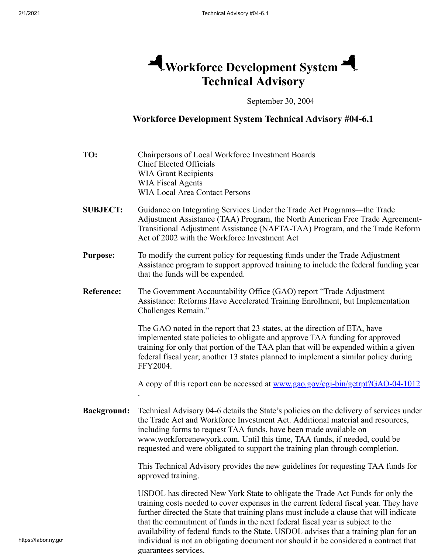## **Workforce Development System Technical Advisory**

September 30, 2004

## **Workforce Development System Technical Advisory #04-6.1**

| TO:                | Chairpersons of Local Workforce Investment Boards<br><b>Chief Elected Officials</b><br><b>WIA Grant Recipients</b><br><b>WIA Fiscal Agents</b><br><b>WIA Local Area Contact Persons</b>                                                                                                                                                                                                                                                       |
|--------------------|-----------------------------------------------------------------------------------------------------------------------------------------------------------------------------------------------------------------------------------------------------------------------------------------------------------------------------------------------------------------------------------------------------------------------------------------------|
| <b>SUBJECT:</b>    | Guidance on Integrating Services Under the Trade Act Programs—the Trade<br>Adjustment Assistance (TAA) Program, the North American Free Trade Agreement-<br>Transitional Adjustment Assistance (NAFTA-TAA) Program, and the Trade Reform<br>Act of 2002 with the Workforce Investment Act                                                                                                                                                     |
| <b>Purpose:</b>    | To modify the current policy for requesting funds under the Trade Adjustment<br>Assistance program to support approved training to include the federal funding year<br>that the funds will be expended.                                                                                                                                                                                                                                       |
| <b>Reference:</b>  | The Government Accountability Office (GAO) report "Trade Adjustment"<br>Assistance: Reforms Have Accelerated Training Enrollment, but Implementation<br>Challenges Remain."                                                                                                                                                                                                                                                                   |
|                    | The GAO noted in the report that 23 states, at the direction of ETA, have<br>implemented state policies to obligate and approve TAA funding for approved<br>training for only that portion of the TAA plan that will be expended within a given<br>federal fiscal year; another 13 states planned to implement a similar policy during<br>FFY2004.                                                                                            |
|                    | A copy of this report can be accessed at <u>www.gao.gov/cgi-bin/getrpt?GAO-04-1012</u>                                                                                                                                                                                                                                                                                                                                                        |
| <b>Background:</b> | Technical Advisory 04-6 details the State's policies on the delivery of services under<br>the Trade Act and Workforce Investment Act. Additional material and resources,<br>including forms to request TAA funds, have been made available on<br>www.workforcenewyork.com. Until this time, TAA funds, if needed, could be<br>requested and were obligated to support the training plan through completion.                                   |
|                    | This Technical Advisory provides the new guidelines for requesting TAA funds for<br>approved training.                                                                                                                                                                                                                                                                                                                                        |
|                    | USDOL has directed New York State to obligate the Trade Act Funds for only the<br>training costs needed to cover expenses in the current federal fiscal year. They have<br>further directed the State that training plans must include a clause that will indicate<br>that the commitment of funds in the next federal fiscal year is subject to the<br>availability of federal funds to the State. USDOL advises that a training plan for an |

guarantees services.